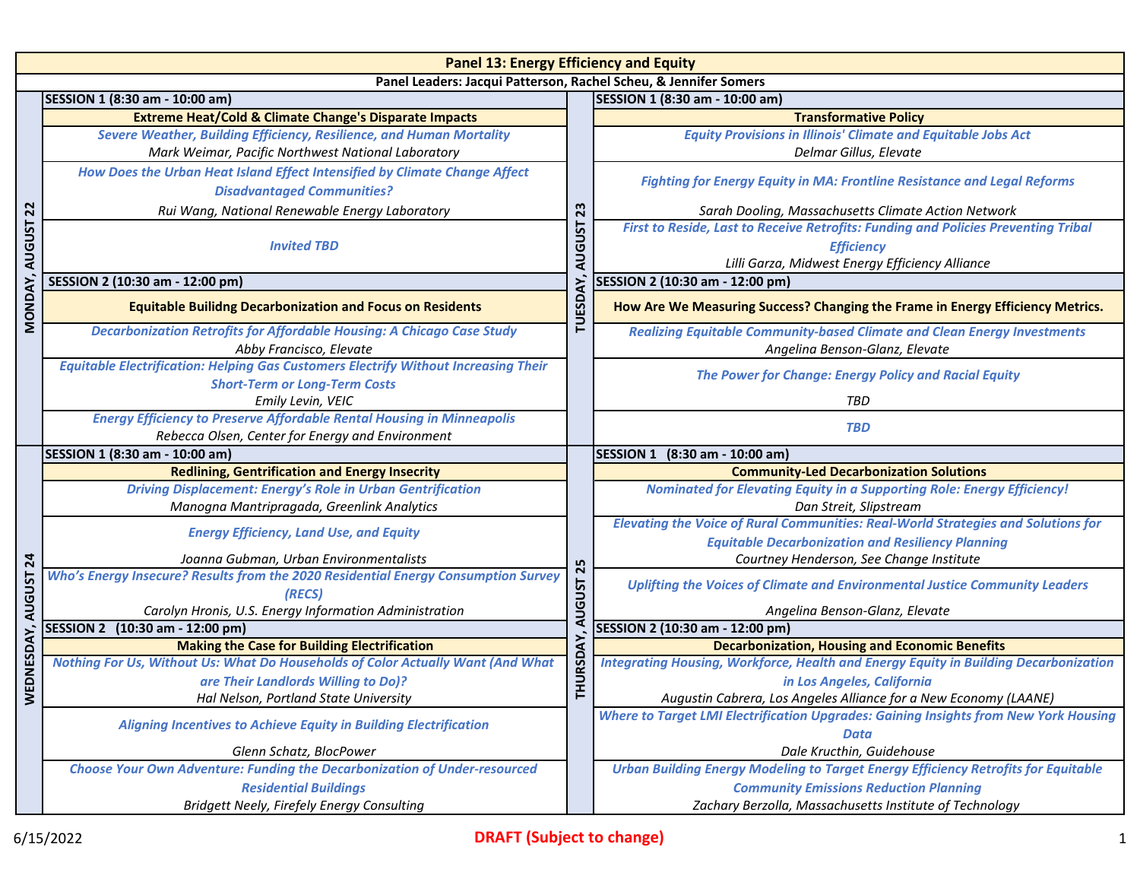| <b>Panel 13: Energy Efficiency and Equity</b>                    |                                                                                                                                   |                                                        |                                                                                             |  |
|------------------------------------------------------------------|-----------------------------------------------------------------------------------------------------------------------------------|--------------------------------------------------------|---------------------------------------------------------------------------------------------|--|
| Panel Leaders: Jacqui Patterson, Rachel Scheu, & Jennifer Somers |                                                                                                                                   |                                                        |                                                                                             |  |
|                                                                  | SESSION 1 (8:30 am - 10:00 am)                                                                                                    |                                                        | SESSION 1 (8:30 am - 10:00 am)                                                              |  |
|                                                                  | <b>Extreme Heat/Cold &amp; Climate Change's Disparate Impacts</b>                                                                 |                                                        | <b>Transformative Policy</b>                                                                |  |
|                                                                  | <b>Severe Weather, Building Efficiency, Resilience, and Human Mortality</b>                                                       |                                                        | <b>Equity Provisions in Illinois' Climate and Equitable Jobs Act</b>                        |  |
|                                                                  | Mark Weimar, Pacific Northwest National Laboratory                                                                                |                                                        | Delmar Gillus, Elevate                                                                      |  |
|                                                                  | How Does the Urban Heat Island Effect Intensified by Climate Change Affect                                                        |                                                        | <b>Fighting for Energy Equity in MA: Frontline Resistance and Legal Reforms</b>             |  |
|                                                                  | <b>Disadvantaged Communities?</b>                                                                                                 | 23                                                     |                                                                                             |  |
| $\overline{2}$                                                   | Rui Wang, National Renewable Energy Laboratory                                                                                    |                                                        | Sarah Dooling, Massachusetts Climate Action Network                                         |  |
|                                                                  | <b>AUGUST</b><br><b>Invited TBD</b>                                                                                               |                                                        | First to Reside, Last to Receive Retrofits: Funding and Policies Preventing Tribal          |  |
|                                                                  |                                                                                                                                   |                                                        | <b>Efficiency</b>                                                                           |  |
|                                                                  |                                                                                                                                   |                                                        | Lilli Garza, Midwest Energy Efficiency Alliance                                             |  |
|                                                                  | SESSION 2 (10:30 am - 12:00 pm)                                                                                                   | <b>TUESD</b>                                           | SESSION 2 (10:30 am - 12:00 pm)                                                             |  |
| MONDAY, AUGUST                                                   | <b>Equitable Builidng Decarbonization and Focus on Residents</b>                                                                  |                                                        | How Are We Measuring Success? Changing the Frame in Energy Efficiency Metrics.              |  |
|                                                                  | <b>Decarbonization Retrofits for Affordable Housing: A Chicago Case Study</b>                                                     |                                                        | <b>Realizing Equitable Community-based Climate and Clean Energy Investments</b>             |  |
|                                                                  | Abby Francisco, Elevate                                                                                                           |                                                        | Angelina Benson-Glanz, Elevate                                                              |  |
|                                                                  | <b>Equitable Electrification: Helping Gas Customers Electrify Without Increasing Their</b>                                        |                                                        | The Power for Change: Energy Policy and Racial Equity                                       |  |
|                                                                  | <b>Short-Term or Long-Term Costs</b>                                                                                              |                                                        |                                                                                             |  |
|                                                                  | Emily Levin, VEIC                                                                                                                 |                                                        | <b>TBD</b>                                                                                  |  |
|                                                                  | <b>Energy Efficiency to Preserve Affordable Rental Housing in Minneapolis</b><br>Rebecca Olsen, Center for Energy and Environment |                                                        | <b>TBD</b>                                                                                  |  |
|                                                                  | SESSION 1 (8:30 am - 10:00 am)                                                                                                    |                                                        | SESSION 1 (8:30 am - 10:00 am)                                                              |  |
|                                                                  | <b>Redlining, Gentrification and Energy Insecrity</b>                                                                             | 25<br><b>LSN<sub>D</sub></b><br>DAY)<br><b>ISSIOH.</b> | <b>Community-Led Decarbonization Solutions</b>                                              |  |
|                                                                  | <b>Driving Displacement: Energy's Role in Urban Gentrification</b>                                                                |                                                        | <b>Nominated for Elevating Equity in a Supporting Role: Energy Efficiency!</b>              |  |
|                                                                  | Manogna Mantripragada, Greenlink Analytics                                                                                        |                                                        | Dan Streit, Slipstream                                                                      |  |
|                                                                  | <b>Energy Efficiency, Land Use, and Equity</b>                                                                                    |                                                        | <b>Elevating the Voice of Rural Communities: Real-World Strategies and Solutions for</b>    |  |
| 24                                                               |                                                                                                                                   |                                                        | <b>Equitable Decarbonization and Resiliency Planning</b>                                    |  |
|                                                                  | Joanna Gubman, Urban Environmentalists                                                                                            |                                                        | Courtney Henderson, See Change Institute                                                    |  |
| <b>AUGUST</b>                                                    | Who's Energy Insecure? Results from the 2020 Residential Energy Consumption Survey<br>(RECS)                                      |                                                        | Uplifting the Voices of Climate and Environmental Justice Community Leaders                 |  |
|                                                                  | Carolyn Hronis, U.S. Energy Information Administration                                                                            |                                                        | Angelina Benson-Glanz, Elevate                                                              |  |
|                                                                  | SESSION 2 (10:30 am - 12:00 pm)                                                                                                   |                                                        | SESSION 2 (10:30 am - 12:00 pm)                                                             |  |
| WEDNESDAY,                                                       | <b>Making the Case for Building Electrification</b>                                                                               |                                                        | <b>Decarbonization, Housing and Economic Benefits</b>                                       |  |
|                                                                  | Nothing For Us, Without Us: What Do Households of Color Actually Want (And What                                                   |                                                        | <b>Integrating Housing, Workforce, Health and Energy Equity in Building Decarbonization</b> |  |
|                                                                  | are Their Landlords Willing to Do)?                                                                                               |                                                        | in Los Angeles, California                                                                  |  |
|                                                                  | Hal Nelson, Portland State University                                                                                             |                                                        | Augustin Cabrera, Los Angeles Alliance for a New Economy (LAANE)                            |  |
|                                                                  | <b>Aligning Incentives to Achieve Equity in Building Electrification</b>                                                          |                                                        | Where to Target LMI Electrification Upgrades: Gaining Insights from New York Housing        |  |
|                                                                  |                                                                                                                                   |                                                        | <b>Data</b>                                                                                 |  |
|                                                                  | Glenn Schatz, BlocPower                                                                                                           |                                                        | Dale Kructhin, Guidehouse                                                                   |  |
|                                                                  | <b>Choose Your Own Adventure: Funding the Decarbonization of Under-resourced</b>                                                  |                                                        | Urban Building Energy Modeling to Target Energy Efficiency Retrofits for Equitable          |  |
|                                                                  | <b>Residential Buildings</b>                                                                                                      |                                                        | <b>Community Emissions Reduction Planning</b>                                               |  |
|                                                                  | Bridgett Neely, Firefely Energy Consulting                                                                                        |                                                        | Zachary Berzolla, Massachusetts Institute of Technology                                     |  |